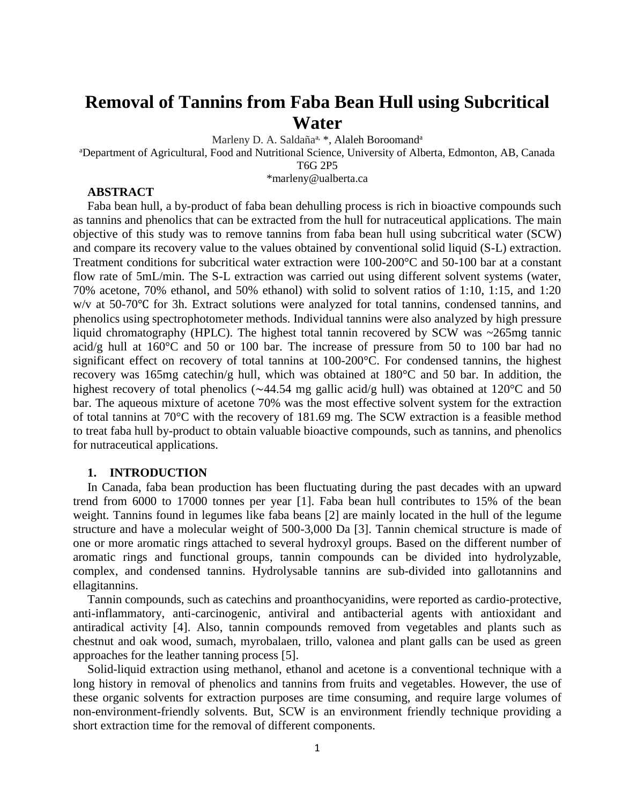# **Removal of Tannins from Faba Bean Hull using Subcritical Water**

Marleny D. A. Saldaña<sup>a, \*</sup>, Alaleh Boroomand<sup>a</sup>

<sup>a</sup>Department of Agricultural, Food and Nutritional Science, University of Alberta, Edmonton, AB, Canada

T6G 2P5

\*marleny@ualberta.ca

## **ABSTRACT**

Faba bean hull, a by-product of faba bean dehulling process is rich in bioactive compounds such as tannins and phenolics that can be extracted from the hull for nutraceutical applications. The main objective of this study was to remove tannins from faba bean hull using subcritical water (SCW) and compare its recovery value to the values obtained by conventional solid liquid (S-L) extraction. Treatment conditions for subcritical water extraction were 100-200°C and 50-100 bar at a constant flow rate of 5mL/min. The S-L extraction was carried out using different solvent systems (water, 70% acetone, 70% ethanol, and 50% ethanol) with solid to solvent ratios of 1:10, 1:15, and 1:20 w/v at 50-70℃ for 3h. Extract solutions were analyzed for total tannins, condensed tannins, and phenolics using spectrophotometer methods. Individual tannins were also analyzed by high pressure liquid chromatography (HPLC). The highest total tannin recovered by SCW was ~265mg tannic acid/g hull at 160°C and 50 or 100 bar. The increase of pressure from 50 to 100 bar had no significant effect on recovery of total tannins at 100-200°C. For condensed tannins, the highest recovery was 165mg catechin/g hull, which was obtained at 180°C and 50 bar. In addition, the highest recovery of total phenolics ( $\sim$ 44.54 mg gallic acid/g hull) was obtained at 120 $\degree$ C and 50 bar. The aqueous mixture of acetone 70% was the most effective solvent system for the extraction of total tannins at 70°C with the recovery of 181.69 mg. The SCW extraction is a feasible method to treat faba hull by-product to obtain valuable bioactive compounds, such as tannins, and phenolics for nutraceutical applications.

#### **1. INTRODUCTION**

In Canada, faba bean production has been fluctuating during the past decades with an upward trend from 6000 to 17000 tonnes per year [1]. Faba bean hull contributes to 15% of the bean weight. Tannins found in legumes like faba beans [2] are mainly located in the hull of the legume structure and have a molecular weight of 500-3,000 Da [3]. Tannin chemical structure is made of one or more aromatic rings attached to several hydroxyl groups. Based on the different number of aromatic rings and functional groups, tannin compounds can be divided into hydrolyzable, complex, and condensed tannins. Hydrolysable tannins are sub-divided into gallotannins and ellagitannins.

Tannin compounds, such as catechins and proanthocyanidins, were reported as cardio-protective, anti-inflammatory, anti-carcinogenic, antiviral and antibacterial agents with antioxidant and antiradical activity [4]. Also, tannin compounds removed from vegetables and plants such as chestnut and oak wood, sumach, myrobalaen, trillo, valonea and plant galls can be used as green approaches for the leather tanning process [5].

Solid-liquid extraction using methanol, ethanol and acetone is a conventional technique with a long history in removal of phenolics and tannins from fruits and vegetables. However, the use of these organic solvents for extraction purposes are time consuming, and require large volumes of non-environment-friendly solvents. But, SCW is an environment friendly technique providing a short extraction time for the removal of different components.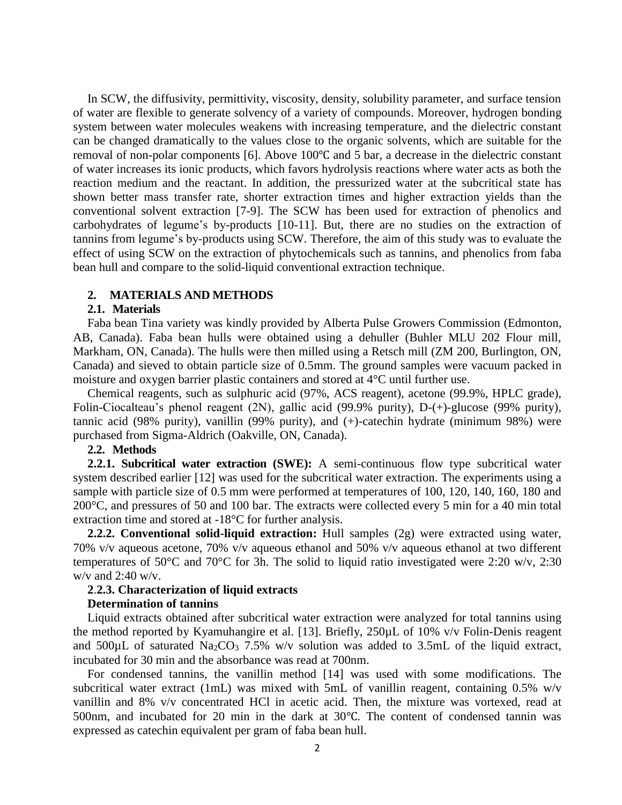In SCW, the diffusivity, permittivity, viscosity, density, solubility parameter, and surface tension of water are flexible to generate solvency of a variety of compounds. Moreover, hydrogen bonding system between water molecules weakens with increasing temperature, and the dielectric constant can be changed dramatically to the values close to the organic solvents, which are suitable for the removal of non-polar components [6]. Above 100℃ and 5 bar, a decrease in the dielectric constant of water increases its ionic products, which favors hydrolysis reactions where water acts as both the reaction medium and the reactant. In addition, the pressurized water at the subcritical state has shown better mass transfer rate, shorter extraction times and higher extraction yields than the conventional solvent extraction [7-9]. The SCW has been used for extraction of phenolics and carbohydrates of legume's by-products [10-11]. But, there are no studies on the extraction of tannins from legume's by-products using SCW. Therefore, the aim of this study was to evaluate the effect of using SCW on the extraction of phytochemicals such as tannins, and phenolics from faba bean hull and compare to the solid-liquid conventional extraction technique.

#### **2. MATERIALS AND METHODS**

#### **2.1. Materials**

Faba bean Tina variety was kindly provided by Alberta Pulse Growers Commission (Edmonton, AB, Canada). Faba bean hulls were obtained using a dehuller (Buhler MLU 202 Flour mill, Markham, ON, Canada). The hulls were then milled using a Retsch mill (ZM 200, Burlington, ON, Canada) and sieved to obtain particle size of 0.5mm. The ground samples were vacuum packed in moisture and oxygen barrier plastic containers and stored at 4°C until further use.

Chemical reagents, such as sulphuric acid (97%, ACS reagent), acetone (99.9%, HPLC grade), Folin-Ciocalteau's phenol reagent (2N), gallic acid (99.9% purity), D-(+)-glucose (99% purity), tannic acid (98% purity), vanillin (99% purity), and (+)-catechin hydrate (minimum 98%) were purchased from Sigma-Aldrich (Oakville, ON, Canada).

#### **2.2. Methods**

**2.2.1. Subcritical water extraction (SWE):** A semi-continuous flow type subcritical water system described earlier [12] was used for the subcritical water extraction. The experiments using a sample with particle size of 0.5 mm were performed at temperatures of 100, 120, 140, 160, 180 and 200°C, and pressures of 50 and 100 bar. The extracts were collected every 5 min for a 40 min total extraction time and stored at -18°C for further analysis.

**2.2.2. Conventional solid-liquid extraction:** Hull samples (2g) were extracted using water, 70% v/v aqueous acetone, 70% v/v aqueous ethanol and 50% v/v aqueous ethanol at two different temperatures of 50°C and 70°C for 3h. The solid to liquid ratio investigated were 2:20 w/v, 2:30 w/v and 2:40 w/v.

## **2**.**2.3. Characterization of liquid extracts**

## **Determination of tannins**

Liquid extracts obtained after subcritical water extraction were analyzed for total tannins using the method reported by Kyamuhangire et al. [13]. Briefly, 250µL of 10% v/v Folin-Denis reagent and  $500\mu$ L of saturated Na<sub>2</sub>CO<sub>3</sub> 7.5% w/v solution was added to 3.5mL of the liquid extract, incubated for 30 min and the absorbance was read at 700nm.

For condensed tannins, the vanillin method [14] was used with some modifications. The subcritical water extract (1mL) was mixed with 5mL of vanillin reagent, containing 0.5% w/v vanillin and 8% v/v concentrated HCl in acetic acid. Then, the mixture was vortexed, read at 500nm, and incubated for 20 min in the dark at 30℃. The content of condensed tannin was expressed as catechin equivalent per gram of faba bean hull.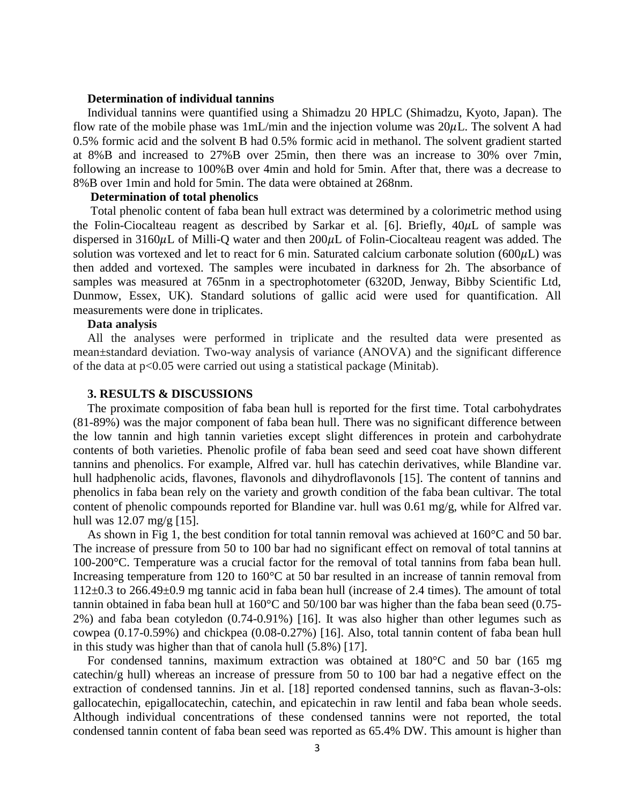#### **Determination of individual tannins**

Individual tannins were quantified using a Shimadzu 20 HPLC (Shimadzu, Kyoto, Japan). The flow rate of the mobile phase was  $1mL/min$  and the injection volume was  $20\mu L$ . The solvent A had 0.5% formic acid and the solvent B had 0.5% formic acid in methanol. The solvent gradient started at 8%B and increased to 27%B over 25min, then there was an increase to 30% over 7min, following an increase to 100%B over 4min and hold for 5min. After that, there was a decrease to 8%B over 1min and hold for 5min. The data were obtained at 268nm.

#### **Determination of total phenolics**

Total phenolic content of faba bean hull extract was determined by a colorimetric method using the Folin-Ciocalteau reagent as described by Sarkar et al. [6]. Briefly,  $40\mu$ L of sample was dispersed in 3160 $\mu$ L of Milli-Q water and then 200 $\mu$ L of Folin-Ciocalteau reagent was added. The solution was vortexed and let to react for 6 min. Saturated calcium carbonate solution ( $600\mu$ L) was then added and vortexed. The samples were incubated in darkness for 2h. The absorbance of samples was measured at 765nm in a spectrophotometer (6320D, Jenway, Bibby Scientific Ltd, Dunmow, Essex, UK). Standard solutions of gallic acid were used for quantification. All measurements were done in triplicates.

#### **Data analysis**

All the analyses were performed in triplicate and the resulted data were presented as mean±standard deviation. Two-way analysis of variance (ANOVA) and the significant difference of the data at p<0.05 were carried out using a statistical package (Minitab).

## **3. RESULTS & DISCUSSIONS**

The proximate composition of faba bean hull is reported for the first time. Total carbohydrates (81-89%) was the major component of faba bean hull. There was no significant difference between the low tannin and high tannin varieties except slight differences in protein and carbohydrate contents of both varieties. Phenolic profile of faba bean seed and seed coat have shown different tannins and phenolics. For example, Alfred var. hull has catechin derivatives, while Blandine var. hull hadphenolic acids, flavones, flavonols and dihydroflavonols [15]. The content of tannins and phenolics in faba bean rely on the variety and growth condition of the faba bean cultivar. The total content of phenolic compounds reported for Blandine var. hull was 0.61 mg/g, while for Alfred var. hull was 12.07 mg/g [15].

As shown in Fig 1, the best condition for total tannin removal was achieved at 160°C and 50 bar. The increase of pressure from 50 to 100 bar had no significant effect on removal of total tannins at 100-200°C. Temperature was a crucial factor for the removal of total tannins from faba bean hull. Increasing temperature from 120 to 160°C at 50 bar resulted in an increase of tannin removal from 112±0.3 to 266.49±0.9 mg tannic acid in faba bean hull (increase of 2.4 times). The amount of total tannin obtained in faba bean hull at 160°C and 50/100 bar was higher than the faba bean seed (0.75- 2%) and faba bean cotyledon (0.74-0.91%) [16]. It was also higher than other legumes such as cowpea (0.17-0.59%) and chickpea (0.08-0.27%) [16]. Also, total tannin content of faba bean hull in this study was higher than that of canola hull (5.8%) [17].

For condensed tannins, maximum extraction was obtained at 180°C and 50 bar (165 mg catechin/g hull) whereas an increase of pressure from 50 to 100 bar had a negative effect on the extraction of condensed tannins. Jin et al. [18] reported condensed tannins, such as flavan-3-ols: gallocatechin, epigallocatechin, catechin, and epicatechin in raw lentil and faba bean whole seeds. Although individual concentrations of these condensed tannins were not reported, the total condensed tannin content of faba bean seed was reported as 65.4% DW. This amount is higher than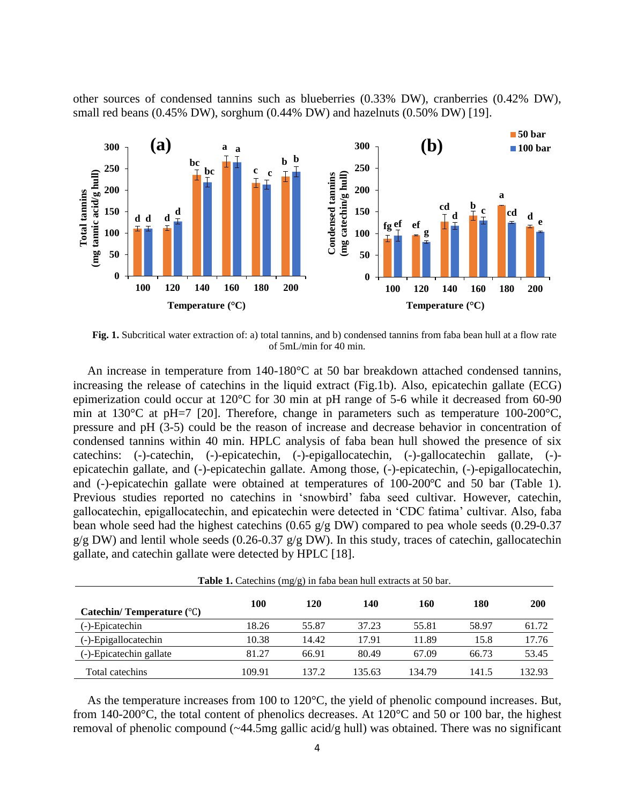other sources of condensed tannins such as blueberries (0.33% DW), cranberries (0.42% DW), small red beans  $(0.45\% \text{ DW})$ , sorghum  $(0.44\% \text{ DW})$  and hazelnuts  $(0.50\% \text{ DW})$  [19].



**Fig. 1.** Subcritical water extraction of: a) total tannins, and b) condensed tannins from faba bean hull at a flow rate of 5mL/min for 40 min.

An increase in temperature from 140-180°C at 50 bar breakdown attached condensed tannins, increasing the release of catechins in the liquid extract (Fig.1b). Also, epicatechin gallate (ECG) epimerization could occur at 120°C for 30 min at pH range of 5-6 while it decreased from 60-90 min at 130°C at pH=7 [20]. Therefore, change in parameters such as temperature 100-200°C, pressure and pH (3-5) could be the reason of increase and decrease behavior in concentration of condensed tannins within 40 min. HPLC analysis of faba bean hull showed the presence of six catechins: (-)-catechin, (-)-epicatechin, (-)-epigallocatechin, (-)-gallocatechin gallate, (-) epicatechin gallate, and (-)-epicatechin gallate. Among those, (-)-epicatechin, (-)-epigallocatechin, and (-)-epicatechin gallate were obtained at temperatures of 100-200℃ and 50 bar (Table 1). Previous studies reported no catechins in 'snowbird' faba seed cultivar. However, catechin, gallocatechin, epigallocatechin, and epicatechin were detected in 'CDC fatima' cultivar. Also, faba bean whole seed had the highest catechins (0.65 g/g DW) compared to pea whole seeds (0.29-0.37  $g/g$  DW) and lentil whole seeds (0.26-0.37  $g/g$  DW). In this study, traces of catechin, gallocatechin gallate, and catechin gallate were detected by HPLC [18].

| <b>Table 1.</b> Catechins (mg/g) in Iaba bean null extracts at 50 par. |        |       |        |        |       |            |
|------------------------------------------------------------------------|--------|-------|--------|--------|-------|------------|
| Catechin/Temperature $(^{\circ}C)$                                     | 100    | 120   | 140    | 160    | 180   | <b>200</b> |
| (-)-Epicatechin                                                        | 18.26  | 55.87 | 37.23  | 55.81  | 58.97 | 61.72      |
| (-)-Epigallocatechin                                                   | 10.38  | 14.42 | 17.91  | 11.89  | 15.8  | 17.76      |
| (-)-Epicatechin gallate                                                | 81.27  | 66.91 | 80.49  | 67.09  | 66.73 | 53.45      |
| Total catechins                                                        | 109.91 | 137.2 | 135.63 | 134.79 | 141.5 | 132.93     |

**Table 1.** Catechins (mg/g) in faba bean hull extracts at 50 bar.

As the temperature increases from 100 to 120°C, the yield of phenolic compound increases. But, from 140-200°C, the total content of phenolics decreases. At 120°C and 50 or 100 bar, the highest removal of phenolic compound (~44.5mg gallic acid/g hull) was obtained. There was no significant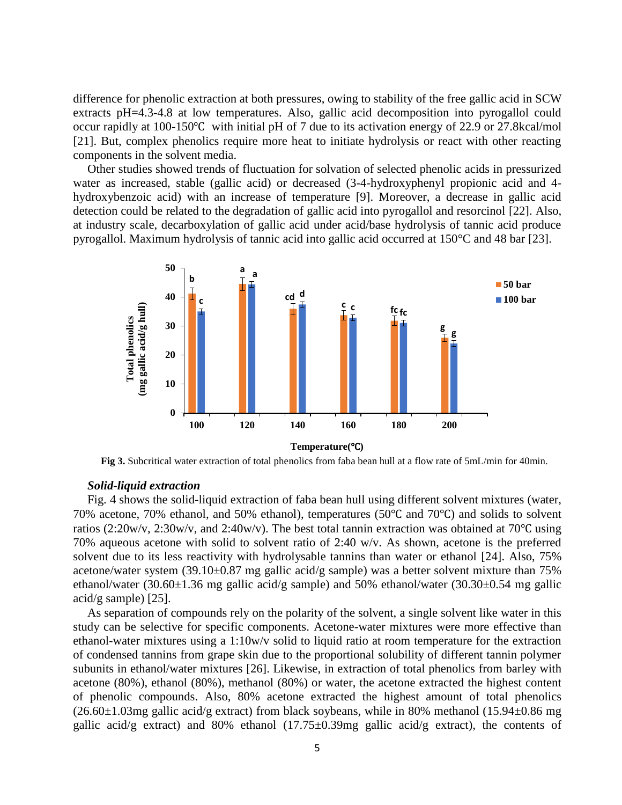difference for phenolic extraction at both pressures, owing to stability of the free gallic acid in SCW extracts pH=4.3-4.8 at low temperatures. Also, gallic acid decomposition into pyrogallol could occur rapidly at 100-150℃ with initial pH of 7 due to its activation energy of 22.9 or 27.8kcal/mol [21]. But, complex phenolics require more heat to initiate hydrolysis or react with other reacting components in the solvent media.

Other studies showed trends of fluctuation for solvation of selected phenolic acids in pressurized water as increased, stable (gallic acid) or decreased (3-4-hydroxyphenyl propionic acid and 4 hydroxybenzoic acid) with an increase of temperature [9]. Moreover, a decrease in gallic acid detection could be related to the degradation of gallic acid into pyrogallol and resorcinol [22]. Also, at industry scale, decarboxylation of gallic acid under acid/base hydrolysis of tannic acid produce pyrogallol. Maximum hydrolysis of tannic acid into gallic acid occurred at 150°C and 48 bar [23].



**Fig 3.** Subcritical water extraction of total phenolics from faba bean hull at a flow rate of 5mL/min for 40min.

### *Solid-liquid extraction*

Fig. 4 shows the solid-liquid extraction of faba bean hull using different solvent mixtures (water, 70% acetone, 70% ethanol, and 50% ethanol), temperatures (50℃ and 70℃) and solids to solvent ratios (2:20w/v, 2:30w/v, and 2:40w/v). The best total tannin extraction was obtained at 70℃ using 70% aqueous acetone with solid to solvent ratio of 2:40 w/v. As shown, acetone is the preferred solvent due to its less reactivity with hydrolysable tannins than water or ethanol [24]. Also, 75% acetone/water system (39.10±0.87 mg gallic acid/g sample) was a better solvent mixture than 75% ethanol/water (30.60±1.36 mg gallic acid/g sample) and 50% ethanol/water (30.30±0.54 mg gallic acid/g sample) [25].

As separation of compounds rely on the polarity of the solvent, a single solvent like water in this study can be selective for specific components. Acetone-water mixtures were more effective than ethanol-water mixtures using a 1:10w/v solid to liquid ratio at room temperature for the extraction of condensed tannins from grape skin due to the proportional solubility of different tannin polymer subunits in ethanol/water mixtures [26]. Likewise, in extraction of total phenolics from barley with acetone (80%), ethanol (80%), methanol (80%) or water, the acetone extracted the highest content of phenolic compounds. Also, 80% acetone extracted the highest amount of total phenolics  $(26.60\pm1.03$ mg gallic acid/g extract) from black soybeans, while in 80% methanol (15.94 $\pm$ 0.86 mg) gallic acid/g extract) and 80% ethanol  $(17.75\pm0.39$ mg gallic acid/g extract), the contents of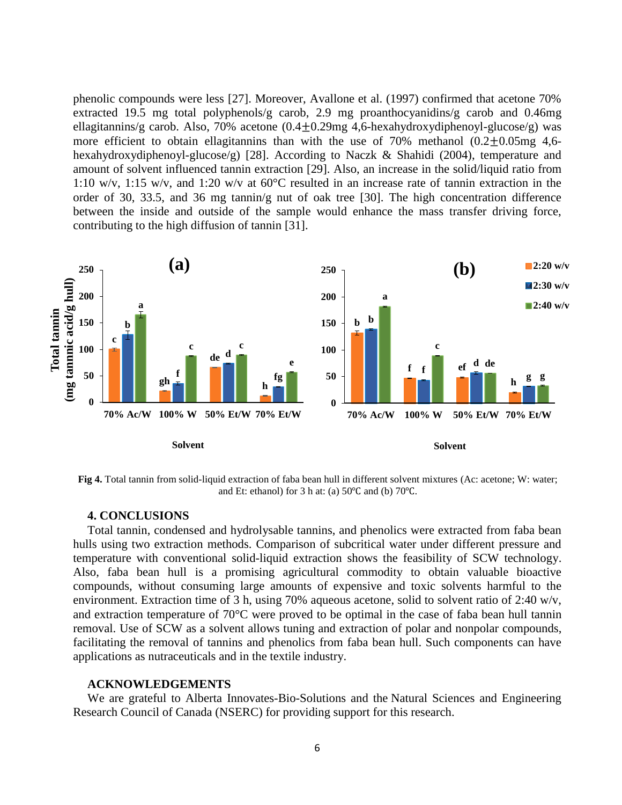phenolic compounds were less [27]. Moreover, Avallone et al. (1997) confirmed that acetone 70% extracted 19.5 mg total polyphenols/g carob, 2.9 mg proanthocyanidins/g carob and 0.46mg ellagitannins/g carob. Also, 70% acetone  $(0.4 \pm 0.29 \text{mg } 4.6 \text{-hexahydroxydiphenoyl-glucose/g})$  was more efficient to obtain ellagitannins than with the use of  $70\%$  methanol  $(0.2+0.05)$ mg 4,6hexahydroxydiphenoyl-glucose/g) [28]. According to Naczk & Shahidi (2004), temperature and amount of solvent influenced tannin extraction [29]. Also, an increase in the solid/liquid ratio from 1:10 w/v, 1:15 w/v, and 1:20 w/v at 60°C resulted in an increase rate of tannin extraction in the order of 30, 33.5, and 36 mg tannin/g nut of oak tree [30]. The high concentration difference between the inside and outside of the sample would enhance the mass transfer driving force, contributing to the high diffusion of tannin [31].



**Fig 4.** Total tannin from solid-liquid extraction of faba bean hull in different solvent mixtures (Ac: acetone; W: water; and Et: ethanol) for 3 h at: (a) 50℃ and (b) 70℃.

## **4. CONCLUSIONS**

Total tannin, condensed and hydrolysable tannins, and phenolics were extracted from faba bean hulls using two extraction methods. Comparison of subcritical water under different pressure and temperature with conventional solid-liquid extraction shows the feasibility of SCW technology. Also, faba bean hull is a promising agricultural commodity to obtain valuable bioactive compounds, without consuming large amounts of expensive and toxic solvents harmful to the environment. Extraction time of 3 h, using 70% aqueous acetone, solid to solvent ratio of 2:40 w/v, and extraction temperature of 70°C were proved to be optimal in the case of faba bean hull tannin removal. Use of SCW as a solvent allows tuning and extraction of polar and nonpolar compounds, facilitating the removal of tannins and phenolics from faba bean hull. Such components can have applications as nutraceuticals and in the textile industry.

### **ACKNOWLEDGEMENTS**

We are grateful to Alberta Innovates-Bio-Solutions and the Natural Sciences and Engineering Research Council of Canada (NSERC) for providing support for this research.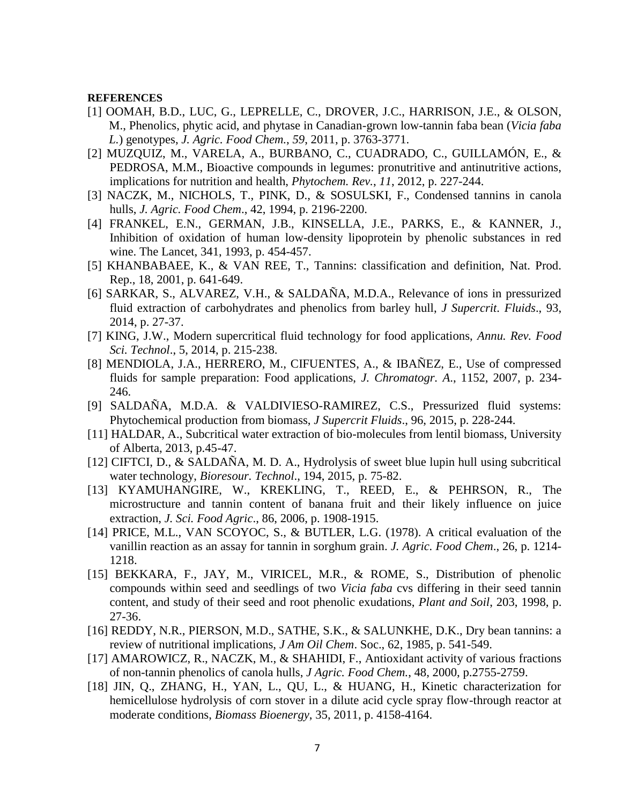#### **REFERENCES**

- [1] OOMAH, B.D., LUC, G., LEPRELLE, C., DROVER, J.C., HARRISON, J.E., & OLSON, M., Phenolics, phytic acid, and phytase in Canadian-grown low-tannin faba bean (*Vicia faba L.*) genotypes, *J. Agric. Food Chem.*, *59*, 2011, p. 3763-3771.
- [2] MUZQUIZ, M., VARELA, A., BURBANO, C., CUADRADO, C., GUILLAMÓN, E., & PEDROSA, M.M., Bioactive compounds in legumes: pronutritive and antinutritive actions, implications for nutrition and health, *Phytochem. Rev.*, *11*, 2012, p. 227-244.
- [3] NACZK, M., NICHOLS, T., PINK, D., & SOSULSKI, F., Condensed tannins in canola hulls, *J. Agric. Food Chem*., 42, 1994, p. 2196-2200.
- [4] FRANKEL, E.N., GERMAN, J.B., KINSELLA, J.E., PARKS, E., & KANNER, J., Inhibition of oxidation of human low-density lipoprotein by phenolic substances in red wine. The Lancet, 341, 1993, p. 454-457.
- [5] KHANBABAEE, K., & VAN REE, T., Tannins: classification and definition, Nat. Prod. Rep., 18, 2001, p. 641-649.
- [6] SARKAR, S., ALVAREZ, V.H., & SALDAÑA, M.D.A., Relevance of ions in pressurized fluid extraction of carbohydrates and phenolics from barley hull, *J Supercrit. Fluids*., 93, 2014, p. 27-37.
- [7] KING, J.W., Modern supercritical fluid technology for food applications, *Annu. Rev. Food Sci. Technol*., 5, 2014, p. 215-238.
- [8] MENDIOLA, J.A., HERRERO, M., CIFUENTES, A., & IBAÑEZ, E., Use of compressed fluids for sample preparation: Food applications, *J. Chromatogr. A*., 1152, 2007, p. 234- 246.
- [9] SALDAÑA, M.D.A. & VALDIVIESO-RAMIREZ, C.S., Pressurized fluid systems: Phytochemical production from biomass, *J Supercrit Fluids*., 96, 2015, p. 228-244.
- [11] HALDAR, A., Subcritical water extraction of bio-molecules from lentil biomass, University of Alberta, 2013, p.45-47.
- [12] CIFTCI, D., & SALDAÑA, M. D. A., Hydrolysis of sweet blue lupin hull using subcritical water technology, *Bioresour. Technol*., 194, 2015, p. 75-82.
- [13] KYAMUHANGIRE, W., KREKLING, T., REED, E., & PEHRSON, R., The microstructure and tannin content of banana fruit and their likely influence on juice extraction, *J. Sci. Food Agric*., 86, 2006, p. 1908-1915.
- [14] PRICE, M.L., VAN SCOYOC, S., & BUTLER, L.G. (1978). A critical evaluation of the vanillin reaction as an assay for tannin in sorghum grain. *J. Agric. Food Chem*., 26, p. 1214- 1218.
- [15] BEKKARA, F., JAY, M., VIRICEL, M.R., & ROME, S., Distribution of phenolic compounds within seed and seedlings of two *Vicia faba* cvs differing in their seed tannin content, and study of their seed and root phenolic exudations, *Plant and Soil*, 203, 1998, p. 27-36.
- [16] REDDY, N.R., PIERSON, M.D., SATHE, S.K., & SALUNKHE, D.K., Dry bean tannins: a review of nutritional implications, *J Am Oil Chem*. Soc., 62, 1985, p. 541-549.
- [17] AMAROWICZ, R., NACZK, M., & SHAHIDI, F., Antioxidant activity of various fractions of non-tannin phenolics of canola hulls, *J Agric. Food Chem.*, 48, 2000, p.2755-2759.
- [18] JIN, Q., ZHANG, H., YAN, L., QU, L., & HUANG, H., Kinetic characterization for hemicellulose hydrolysis of corn stover in a dilute acid cycle spray flow-through reactor at moderate conditions, *Biomass Bioenergy*, 35, 2011, p. 4158-4164.